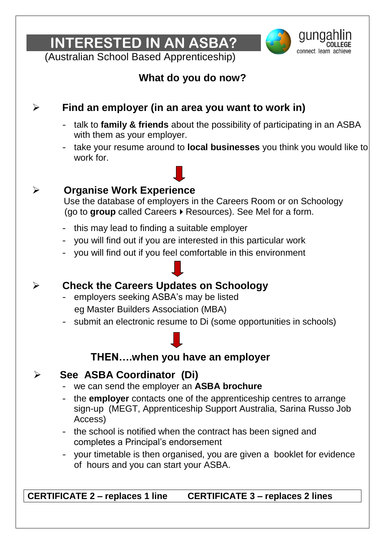**INTERESTED IN AN ASBA?** 



(Australian School Based Apprenticeship)

# **What do you do now?**

# **Find an employer (in an area you want to work in)**

- talk to **family & friends** about the possibility of participating in an ASBA with them as your employer.
- take your resume around to **local businesses** you think you would like to work for.

## **Organise Work Experience**

 Use the database of employers in the Careers Room or on Schoology (go to **group** called Careers  $\triangleright$  Resources). See Mel for a form.

- this may lead to finding a suitable employer
- you will find out if you are interested in this particular work
- you will find out if you feel comfortable in this environment
- **Check the Careers Updates on Schoology**
	- employers seeking ASBA's may be listed eg Master Builders Association (MBA)
	- submit an electronic resume to Di (some opportunities in schools)

# **THEN….when you have an employer**

## **See ASBA Coordinator (Di)**

- we can send the employer an **ASBA brochure**
- the **employer** contacts one of the apprenticeship centres to arrange sign-up (MEGT, Apprenticeship Support Australia, Sarina Russo Job Access)
- the school is notified when the contract has been signed and completes a Principal's endorsement
- your timetable is then organised, you are given a booklet for evidence of hours and you can start your ASBA.

**CERTIFICATE 2 – replaces 1 line CERTIFICATE 3 – replaces 2 lines**